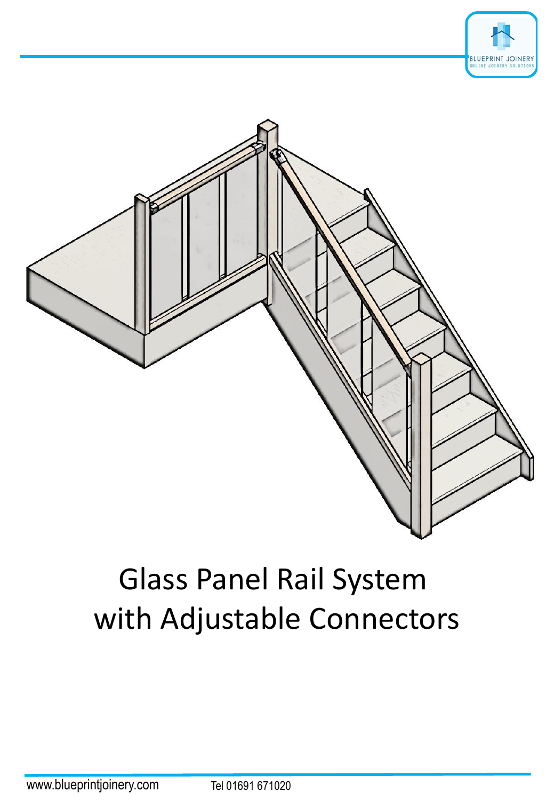



# Glass Panel Rail System with Adjustable Connectors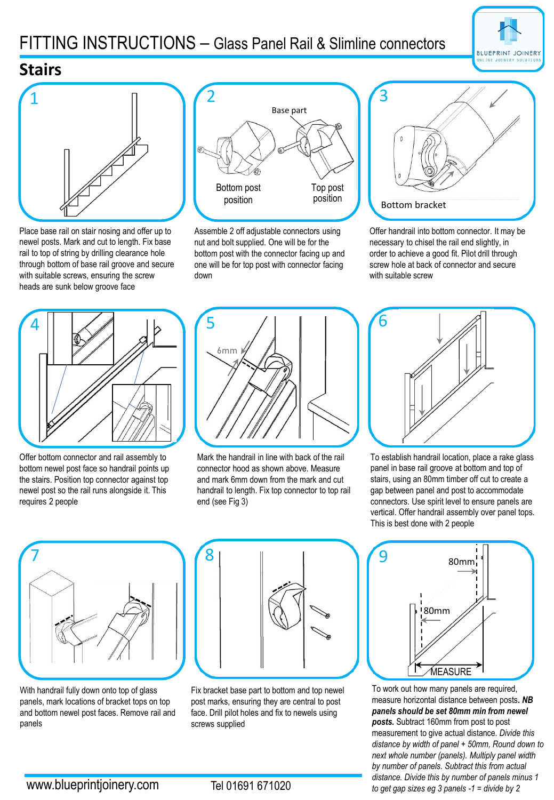## FITTING INSTRUCTIONS – Glass Panel Rail & Slimline connectors



#### **Stairs**



Place base rail on stair nosing and offer up to newel posts. Mark and cut to length. Fix base rail to top of string by drilling clearance hole through bottom of base rail groove and secure with suitable screws, ensuring the screw heads are sunk below groove face



Assemble 2 off adjustable connectors using nut and bolt supplied. One will be for the bottom post with the connector facing up and one will be for top post with connector facing down



Offer handrail into bottom connector. It may be necessary to chisel the rail end slightly, in order to achieve a good fit. Pilot drill through screw hole at back of connector and secure with suitable screw



Offer bottom connector and rail assembly to bottom newel post face so handrail points up the stairs. Position top connector against top newel post so the rail runs alongside it. This requires 2 people



Mark the handrail in line with back of the rail connector hood as shown above. Measure and mark 6mm down from the mark and cut handrail to length. Fix top connector to top rail end (see Fig 3)



To establish handrail location, place a rake glass panel in base rail groove at bottom and top of stairs, using an 80mm timber off cut to create a gap between panel and post to accommodate connectors. Use spirit level to ensure panels are vertical. Offer handrail assembly over panel tops. This is best done with 2 people



With handrail fully down onto top of glass panels, mark locations of bracket tops on top and bottom newel post faces. Remove rail and panels



Fix bracket base part to bottom and top newel post marks, ensuring they are central to post face. Drill pilot holes and fix to newels using screws supplied



To work out how many panels are required, measure horizontal distance between posts*. NB panels should be set 80mm min from newel posts.* Subtract 160mm from post to post measurement to give actual distance. *Divide this distance by width of panel + 50mm, Round down to next whole number (panels). Multiply panel width by number of panels. Subtract this from actual distance. Divide this by number of panels minus 1 to get gap sizes eg 3 panels -1 = divide by 2*

Tel 01691 671020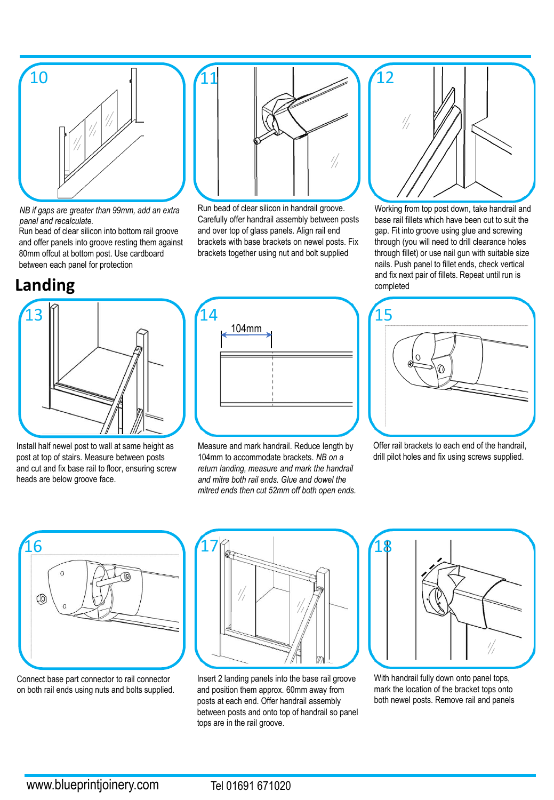

11

*NB if gaps are greater than 99mm, add an extra panel and recalculate.*

Run bead of clear silicon into bottom rail groove and offer panels into groove resting them against 80mm offcut at bottom post. Use cardboard between each panel for protection

#### **Landing**



Install half newel post to wall at same height as post at top of stairs. Measure between posts and cut and fix base rail to floor, ensuring screw heads are below groove face.



Run bead of clear silicon in handrail groove. Carefully offer handrail assembly between posts and over top of glass panels. Align rail end brackets with base brackets on newel posts. Fix brackets together using nut and bolt supplied

Measure and mark handrail. Reduce length by 104mm to accommodate brackets. *NB on a return landing, measure and mark the handrail and mitre both rail ends. Glue and dowel the mitred ends then cut 52mm off both open ends.*



Working from top post down, take handrail and base rail fillets which have been cut to suit the gap. Fit into groove using glue and screwing through (you will need to drill clearance holes through fillet) or use nail gun with suitable size nails. Push panel to fillet ends, check vertical and fix next pair of fillets. Repeat until run is completed



Offer rail brackets to each end of the handrail, drill pilot holes and fix using screws supplied.



Connect base part connector to rail connector on both rail ends using nuts and bolts supplied.



Insert 2 landing panels into the base rail groove and position them approx. 60mm away from posts at each end. Offer handrail assembly between posts and onto top of handrail so panel tops are in the rail groove.



With handrail fully down onto panel tops, mark the location of the bracket tops onto both newel posts. Remove rail and panels